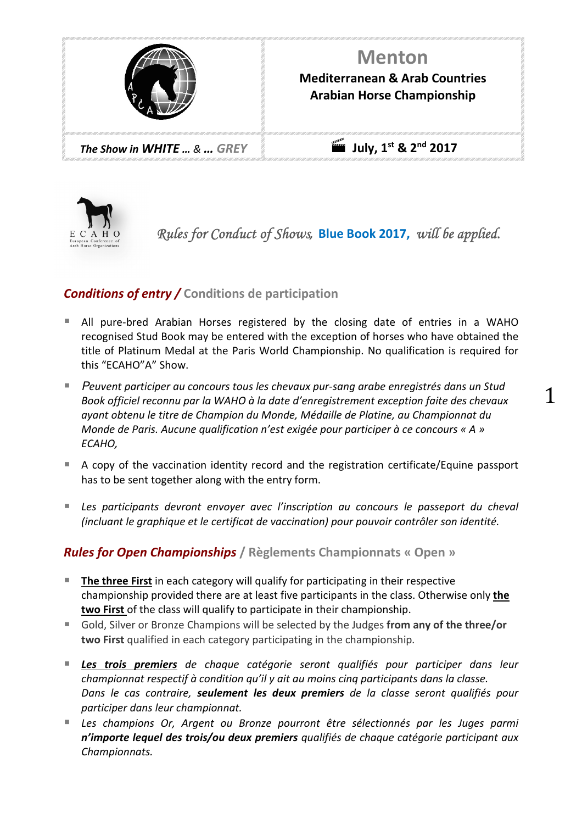



*Rules for Conduct of Shows,* **Blue Book 2017,** *will be applied.* 

1

# *Conditions of entry /* **Conditions de participation**

- All pure-bred Arabian Horses registered by the closing date of entries in a WAHO recognised Stud Book may be entered with the exception of horses who have obtained the title of Platinum Medal at the Paris World Championship. No qualification is required for this "ECAHO"A" Show.
- P*euvent participer au concours tous les chevaux pur-sang arabe enregistrés dans un Stud Book officiel reconnu par la WAHO à la date d'enregistrement exception faite des chevaux ayant obtenu le titre de Champion du Monde, Médaille de Platine, au Championnat du Monde de Paris. Aucune qualification n'est exigée pour participer à ce concours « A » ECAHO,*
- A copy of the vaccination identity record and the registration certificate/Equine passport has to be sent together along with the entry form.
- **Les participants devront envoyer avec l'inscription au concours le passeport du cheval** *(incluant le graphique et le certificat de vaccination) pour pouvoir contrôler son identité.*

## *Rules for Open Championships* **/ Règlements Championnats « Open »**

- **The three First** in each category will qualify for participating in their respective championship provided there are at least five participants in the class. Otherwise only **the two First** of the class will qualify to participate in their championship.
- Gold, Silver or Bronze Champions will be selected by the Judges from any of the three/or **two First** qualified in each category participating in the championship*.*
- *Les trois premiers de chaque catégorie seront qualifiés pour participer dans leur championnat respectif à condition qu'il y ait au moins cinq participants dans la classe. Dans le cas contraire, seulement les deux premiers de la classe seront qualifiés pour participer dans leur championnat.*
- *Les champions Or, Argent ou Bronze pourront être sélectionnés par les Juges parmi n'importe lequel des trois/ou deux premiers qualifiés de chaque catégorie participant aux Championnats.*